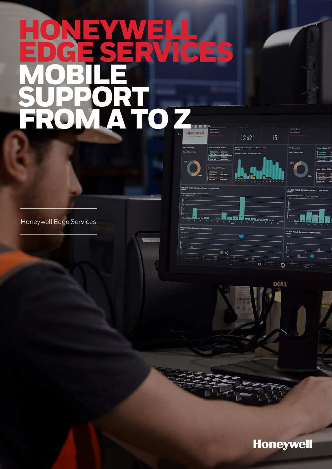# HONEYWELL EDGE SERVICES MOBILE **SUPPORT** FROM A TO Z

Honeywell Edge Services

**Honeywell** 

12,621

m)

and limit

 $\bullet$ 

**Millenand** 

 $\overline{\blacktriangleleft}$ 

mu

 $\overline{\mathbf{o}}$ 

**DOLL** 

 $\overline{a}$ 

15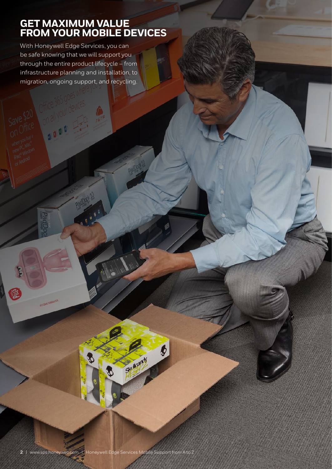### **GET MAXIMUM VALUE FROM YOUR MOBILE DEVICES**

With Honeywell Edge Services, you can be safe knowing that we will support you through the entire product lifecycle – from infrastructure planning and installation, to migration, ongoing support, and recycling.

E

 $\frac{d}{dt}$ 

 $\boldsymbol{\phi}$ 

Skultandy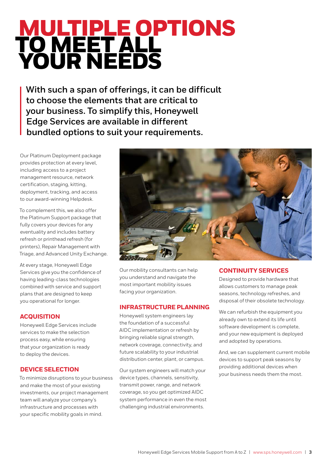## MULTIPLE OPTIONS TO MEET ALL YOUR NEEDS

**With such a span of offerings, it can be difficult to choose the elements that are critical to your business. To simplify this, Honeywell Edge Services are available in different bundled options to suit your requirements.** 

Our Platinum Deployment package provides protection at every level, including access to a project management resource, network certification, staging, kitting, deployment, tracking, and access to our award-winning Helpdesk.

To complement this, we also offer the Platinum Support package that fully covers your devices for any eventuality and includes battery refresh or printhead refresh (for printers), Repair Management with Triage, and Advanced Unity Exchange.

At every stage, Honeywell Edge Services give you the confidence of having leading-class technologies combined with service and support plans that are designed to keep you operational for longer.

### **ACQUISITION**

Honeywell Edge Services include services to make the selection process easy, while ensuring that your organization is ready to deploy the devices.

### **DEVICE SELECTION**

To minimize disruptions to your business and make the most of your existing investments, our project management team will analyze your company's infrastructure and processes with your specific mobility goals in mind.



Our mobility consultants can help you understand and navigate the most important mobility issues facing your organization.

### **INFRASTRUCTURE PLANNING**

Honeywell system engineers lay the foundation of a successful AIDC implementation or refresh by bringing reliable signal strength, network coverage, connectivity, and future scalability to your industrial distribution center, plant, or campus.

Our system engineers will match your device types, channels, sensitivity, transmit power, range, and network coverage, so you get optimized AIDC system performance in even the most challenging industrial environments.

### **CONTINUITY SERVICES**

Designed to provide hardware that allows customers to manage peak seasons, technology refreshes, and disposal of their obsolete technology.

We can refurbish the equipment you already own to extend its life until software development is complete, and your new equipment is deployed and adopted by operations.

And, we can supplement current mobile devices to support peak seasons by providing additional devices when your business needs them the most.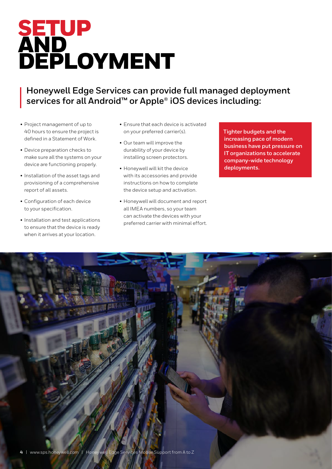## SETUP AND DEPLOYMENT

### **Honeywell Edge Services can provide full managed deployment services for all Android™ or Apple® iOS devices including:**

- Project management of up to 40 hours to ensure the project is defined in a Statement of Work.
- Device preparation checks to make sure all the systems on your device are functioning properly.
- Installation of the asset tags and provisioning of a comprehensive report of all assets.
- Configuration of each device to your specification.
- Installation and test applications to ensure that the device is ready when it arrives at your location.
- Ensure that each device is activated on your preferred carrier(s).
- Our team will improve the durability of your device by installing screen protectors.
- Honeywell will kit the device with its accessories and provide instructions on how to complete the device setup and activation.
- Honeywell will document and report all IMEA numbers, so your team can activate the devices with your preferred carrier with minimal effort.

**Tighter budgets and the increasing pace of modern business have put pressure on IT organizations to accelerate company-wide technology deployments.**

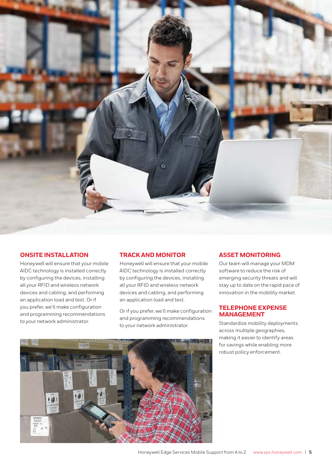

### **ONSITE INSTALLATION**

Honeywell will ensure that your mobile AIDC technology is installed correctly by configuring the devices, installing all your RFID and wireless network devices and cabling, and performing an application load and test. Or if you prefer, we'll make configuration and programming recommendations to your network administrator.

### **TRACK AND MONITOR**

Honeywell will ensure that your mobile AIDC technology is installed correctly by configuring the devices, installing all your RFID and wireless network devices and cabling, and performing an application load and test.

Or if you prefer, we'll make configuration and programming recommendations to your network administrator.

### **ASSET MONITORING**

Our team will manage your MDM software to reduce the risk of emerging security threats and will stay up to date on the rapid pace of innovation in the mobility market.

### **TELEPHONE EXPENSE MANAGEMENT**

Standardize mobility deployments across multiple geographies, making it easier to identify areas for savings while enabling more robust policy enforcement.

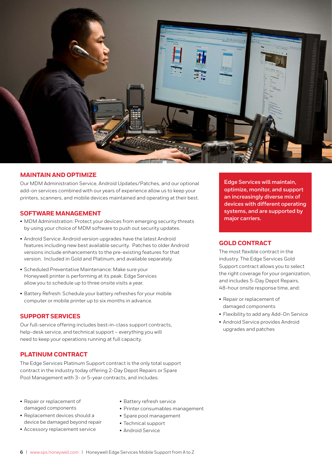

### **MAINTAIN AND OPTIMIZE**

Our MDM Administration Service, Android Updates/Patches, and our optional add-on services combined with our years of experience allow us to keep your printers, scanners, and mobile devices maintained and operating at their best.

### **SOFTWARE MANAGEMENT**

- MDM Administration: Protect your devices from emerging security threats by using your choice of MDM software to push out security updates.
- Android Service: Android version upgrades have the latest Android features including new best available security. Patches to older Android versions include enhancements to the pre-existing features for that version. Included in Gold and Platinum, and available separately.
- Scheduled Preventative Maintenance: Make sure your Honeywell printer is performing at its peak. Edge Services allow you to schedule up to three onsite visits a year.
- Battery Refresh: Schedule your battery refreshes for your mobile computer or mobile printer up to six months in advance.

### **SUPPORT SERVICES**

Our full-service offering includes best-in-class support contracts, help-desk service, and technical support – everything you will need to keep your operations running at full capacity.

### **PLATINUM CONTRACT**

The Edge Services Platinum Support contract is the only total support contract in the industry today offering 2-Day Depot Repairs or Spare Pool Management with 3- or 5-year contracts, and includes:

- Repair or replacement of damaged components
- Replacement devices should a device be damaged beyond repair
- Accessory replacement service
- Battery refresh service
- Printer consumables management
- Spare pool management
- Technical support
- Android Service

**Edge Services will maintain, optimize, monitor, and support an increasingly diverse mix of devices with different operating systems, and are supported by major carriers.**

### **GOLD CONTRACT**

The most flexible contract in the industry. The Edge Services Gold Support contract allows you to select the right coverage for your organization, and includes 5-Day Depot Repairs, 48-hour onsite response time, and:

- Repair or replacement of damaged components
- Flexibility to add any Add-On Service
- Android Service provides Android upgrades and patches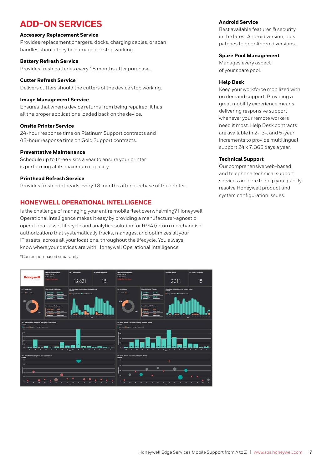### **ADD-ON SERVICES**

### **Accessory Replacement Service**

Provides replacement chargers, docks, charging cables, or scan handles should they be damaged or stop working.

### **Battery Refresh Service**

Provides fresh batteries every 18 months after purchase.

### **Cutter Refresh Service**

Delivers cutters should the cutters of the device stop working.

### **Image Management Service**

Ensures that when a device returns from being repaired, it has all the proper applications loaded back on the device.

### **Onsite Printer Service**

24-hour response time on Platinum Support contracts and 48-hour response time on Gold Support contracts.

### **Preventative Maintenance**

Schedule up to three visits a year to ensure your printer is performing at its maximum capacity.

### **Printhead Refresh Service**

Provides fresh printheads every 18 months after purchase of the printer.

### **HONEYWELL OPERATIONAL INTELLIGENCE**

Is the challenge of managing your entire mobile fleet overwhelming? Honeywell Operational Intelligence makes it easy by providing a manufacturer-agnostic operational-asset lifecycle and analytics solution for RMA (return merchandise authorization) that systematically tracks, manages, and optimizes all your IT assets, across all your locations, throughout the lifecycle. You always know where your devices are with Honeywell Operational Intelligence.

\*Can be purchased separately.



### **Android Service**

Best available features & security in the latest Android version, plus patches to prior Android versions.

#### **Spare Pool Management**

Manages every aspect of your spare pool.

### **Help Desk**

Keep your workforce mobilized with on demand support. Providing a great mobility experience means delivering responsive support whenever your remote workers need it most. Help Desk contracts are available in 2-, 3-, and 5-year increments to provide multilingual support 24 x 7, 365 days a year.

### **Technical Support**

Our comprehensive web-based and telephone technical support services are here to help you quickly resolve Honeywell product and system configuration issues.